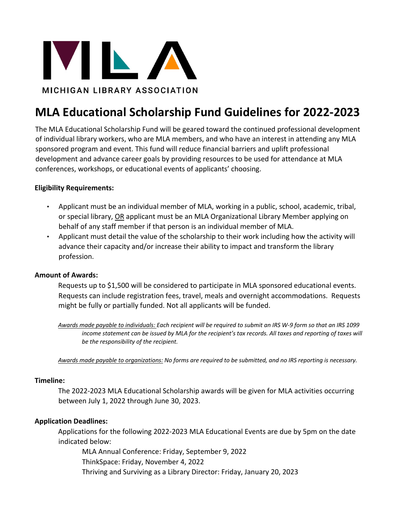

# **MLA Educational Scholarship Fund Guidelines for 2022-2023**

The MLA Educational Scholarship Fund will be geared toward the continued professional development of individual library workers, who are MLA members, and who have an interest in attending any MLA sponsored program and event. This fund will reduce financial barriers and uplift professional development and advance career goals by providing resources to be used for attendance at MLA conferences, workshops, or educational events of applicants' choosing.

# **Eligibility Requirements:**

- Applicant must be an individual member of MLA, working in a public, school, academic, tribal, or special library, OR applicant must be an MLA Organizational Library Member applying on behalf of any staff member if that person is an individual member of MLA.
- Applicant must detail the value of the scholarship to their work including how the activity will advance their capacity and/or increase their ability to impact and transform the library profession.

## **Amount of Awards:**

Requests up to \$1,500 will be considered to participate in MLA sponsored educational events. Requests can include registration fees, travel, meals and overnight accommodations. Requests might be fully or partially funded. Not all applicants will be funded.

*Awards made payable to individuals: Each recipient will be required to submit an IRS W-9 form so that an IRS 1099 income statement can be issued by MLA for the recipient's tax records. All taxes and reporting of taxes will be the responsibility of the recipient.* 

*Awards made payable to organizations: No forms are required to be submitted, and no IRS reporting is necessary.* 

#### **Timeline:**

The 2022-2023 MLA Educational Scholarship awards will be given for MLA activities occurring between July 1, 2022 through June 30, 2023.

## **Application Deadlines:**

Applications for the following 2022-2023 MLA Educational Events are due by 5pm on the date indicated below:

MLA Annual Conference: Friday, September 9, 2022 ThinkSpace: Friday, November 4, 2022 Thriving and Surviving as a Library Director: Friday, January 20, 2023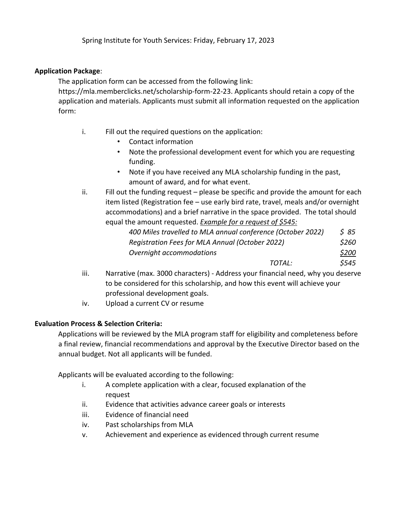Spring Institute for Youth Services: Friday, February 17, 2023

# **Application Package**:

The application form can be accessed from the following link:

https://mla.memberclicks.net/scholarship-form-22-23. Applicants should retain a copy of the application and materials. Applicants must submit all information requested on the application form:

- i. Fill out the required questions on the application:
	- Contact information
	- Note the professional development event for which you are requesting funding.
	- Note if you have received any MLA scholarship funding in the past, amount of award, and for what event.
- ii. Fill out the funding request please be specific and provide the amount for each item listed (Registration fee – use early bird rate, travel, meals and/or overnight accommodations) and a brief narrative in the space provided. The total should equal the amount requested. *Example for a request of \$545:*

| 400 Miles travelled to MLA annual conference (October 2022) | S 85  |
|-------------------------------------------------------------|-------|
| Registration Fees for MLA Annual (October 2022)             | \$260 |
| Overnight accommodations                                    | \$200 |
| TOTAL:                                                      | \$545 |

- iii. Narrative (max. 3000 characters) Address your financial need, why you deserve to be considered for this scholarship, and how this event will achieve your professional development goals.
- iv. Upload a current CV or resume

# **Evaluation Process & Selection Criteria:**

Applications will be reviewed by the MLA program staff for eligibility and completeness before a final review, financial recommendations and approval by the Executive Director based on the annual budget. Not all applicants will be funded.

Applicants will be evaluated according to the following:

- i. A complete application with a clear, focused explanation of the request
- ii. Evidence that activities advance career goals or interests
- iii. Evidence of financial need
- iv. Past scholarships from MLA
- v. Achievement and experience as evidenced through current resume